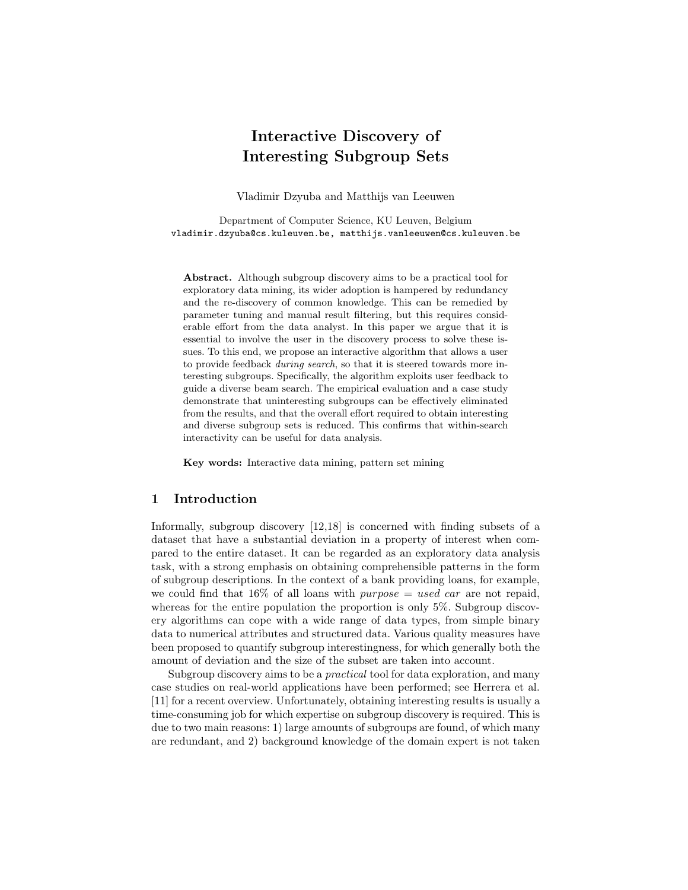# Interactive Discovery of Interesting Subgroup Sets

Vladimir Dzyuba and Matthijs van Leeuwen

Department of Computer Science, KU Leuven, Belgium vladimir.dzyuba@cs.kuleuven.be, matthijs.vanleeuwen@cs.kuleuven.be

Abstract. Although subgroup discovery aims to be a practical tool for exploratory data mining, its wider adoption is hampered by redundancy and the re-discovery of common knowledge. This can be remedied by parameter tuning and manual result filtering, but this requires considerable effort from the data analyst. In this paper we argue that it is essential to involve the user in the discovery process to solve these issues. To this end, we propose an interactive algorithm that allows a user to provide feedback during search, so that it is steered towards more interesting subgroups. Specifically, the algorithm exploits user feedback to guide a diverse beam search. The empirical evaluation and a case study demonstrate that uninteresting subgroups can be effectively eliminated from the results, and that the overall effort required to obtain interesting and diverse subgroup sets is reduced. This confirms that within-search interactivity can be useful for data analysis.

Key words: Interactive data mining, pattern set mining

# 1 Introduction

Informally, subgroup discovery [12,18] is concerned with finding subsets of a dataset that have a substantial deviation in a property of interest when compared to the entire dataset. It can be regarded as an exploratory data analysis task, with a strong emphasis on obtaining comprehensible patterns in the form of subgroup descriptions. In the context of a bank providing loans, for example, we could find that  $16\%$  of all loans with *purpose* = used car are not repaid, whereas for the entire population the proportion is only 5%. Subgroup discovery algorithms can cope with a wide range of data types, from simple binary data to numerical attributes and structured data. Various quality measures have been proposed to quantify subgroup interestingness, for which generally both the amount of deviation and the size of the subset are taken into account.

Subgroup discovery aims to be a practical tool for data exploration, and many case studies on real-world applications have been performed; see Herrera et al. [11] for a recent overview. Unfortunately, obtaining interesting results is usually a time-consuming job for which expertise on subgroup discovery is required. This is due to two main reasons: 1) large amounts of subgroups are found, of which many are redundant, and 2) background knowledge of the domain expert is not taken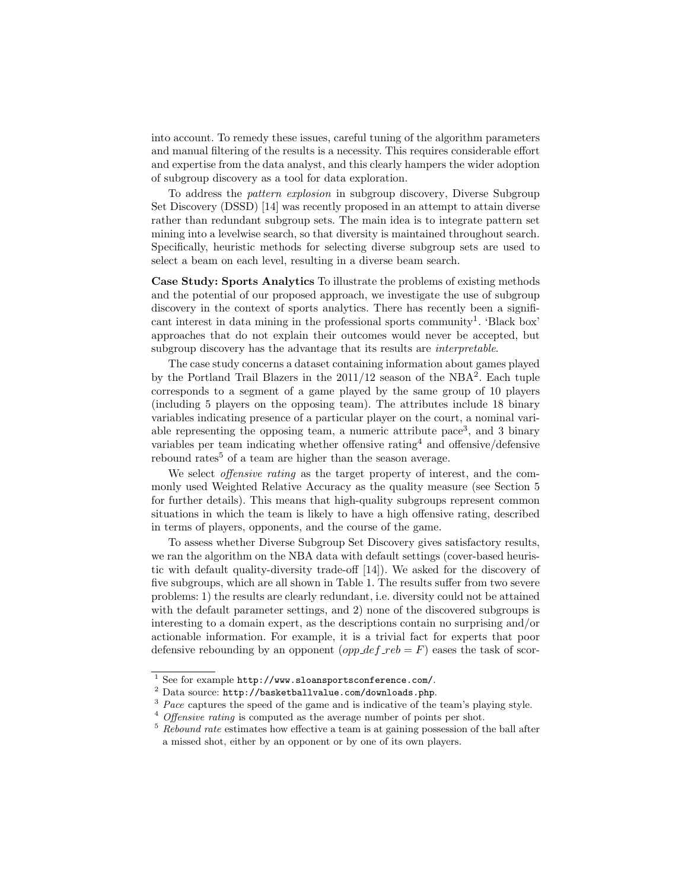into account. To remedy these issues, careful tuning of the algorithm parameters and manual filtering of the results is a necessity. This requires considerable effort and expertise from the data analyst, and this clearly hampers the wider adoption of subgroup discovery as a tool for data exploration.

To address the pattern explosion in subgroup discovery, Diverse Subgroup Set Discovery (DSSD) [14] was recently proposed in an attempt to attain diverse rather than redundant subgroup sets. The main idea is to integrate pattern set mining into a levelwise search, so that diversity is maintained throughout search. Specifically, heuristic methods for selecting diverse subgroup sets are used to select a beam on each level, resulting in a diverse beam search.

Case Study: Sports Analytics To illustrate the problems of existing methods and the potential of our proposed approach, we investigate the use of subgroup discovery in the context of sports analytics. There has recently been a significant interest in data mining in the professional sports community<sup>1</sup>. 'Black box' approaches that do not explain their outcomes would never be accepted, but subgroup discovery has the advantage that its results are *interpretable*.

The case study concerns a dataset containing information about games played by the Portland Trail Blazers in the  $2011/12$  season of the NBA<sup>2</sup>. Each tuple corresponds to a segment of a game played by the same group of 10 players (including 5 players on the opposing team). The attributes include 18 binary variables indicating presence of a particular player on the court, a nominal variable representing the opposing team, a numeric attribute pace<sup>3</sup>, and 3 binary variables per team indicating whether offensive rating<sup>4</sup> and offensive/defensive rebound rates<sup>5</sup> of a team are higher than the season average.

We select *offensive rating* as the target property of interest, and the commonly used Weighted Relative Accuracy as the quality measure (see Section 5 for further details). This means that high-quality subgroups represent common situations in which the team is likely to have a high offensive rating, described in terms of players, opponents, and the course of the game.

To assess whether Diverse Subgroup Set Discovery gives satisfactory results, we ran the algorithm on the NBA data with default settings (cover-based heuristic with default quality-diversity trade-off [14]). We asked for the discovery of five subgroups, which are all shown in Table 1. The results suffer from two severe problems: 1) the results are clearly redundant, i.e. diversity could not be attained with the default parameter settings, and 2) none of the discovered subgroups is interesting to a domain expert, as the descriptions contain no surprising and/or actionable information. For example, it is a trivial fact for experts that poor defensive rebounding by an opponent  $\text{(opp-def_{reb} = F)}$  eases the task of scor-

<sup>&</sup>lt;sup>1</sup> See for example http://www.sloansportsconference.com/.

<sup>2</sup> Data source: http://basketballvalue.com/downloads.php.

<sup>&</sup>lt;sup>3</sup> Pace captures the speed of the game and is indicative of the team's playing style.

<sup>&</sup>lt;sup>4</sup> Offensive rating is computed as the average number of points per shot.

 $5$  Rebound rate estimates how effective a team is at gaining possession of the ball after a missed shot, either by an opponent or by one of its own players.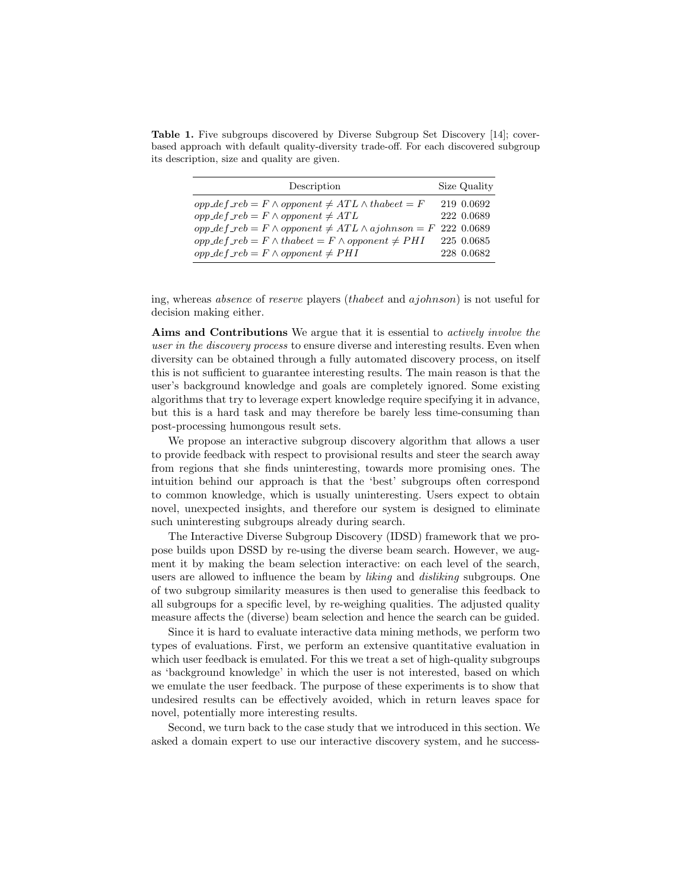Table 1. Five subgroups discovered by Diverse Subgroup Set Discovery [14]; coverbased approach with default quality-diversity trade-off. For each discovered subgroup its description, size and quality are given.

| Description                                                                 | Size Quality |
|-----------------------------------------------------------------------------|--------------|
| $opp\_def\_reb = F \wedge opponent \neq ATL \wedge thabet = F$              | 219 0.0692   |
| $opp\_def\_reb = F \wedge opponent \neq ATL$                                | 222 0.0689   |
| $opp\_def\_reb = F \wedge opponent \neq ATL \wedge ajohnson = F$ 222 0.0689 |              |
| $opp\_def\_reb = F \wedge thabet = F \wedge opponent \neq PHI$              | 225 0.0685   |
| opp_def_reb = $F \wedge$ opponent $\neq$ PHI                                | 228 0.0682   |

ing, whereas absence of reserve players (thabeet and ajohnson) is not useful for decision making either.

Aims and Contributions We argue that it is essential to *actively involve the* user in the discovery process to ensure diverse and interesting results. Even when diversity can be obtained through a fully automated discovery process, on itself this is not sufficient to guarantee interesting results. The main reason is that the user's background knowledge and goals are completely ignored. Some existing algorithms that try to leverage expert knowledge require specifying it in advance, but this is a hard task and may therefore be barely less time-consuming than post-processing humongous result sets.

We propose an interactive subgroup discovery algorithm that allows a user to provide feedback with respect to provisional results and steer the search away from regions that she finds uninteresting, towards more promising ones. The intuition behind our approach is that the 'best' subgroups often correspond to common knowledge, which is usually uninteresting. Users expect to obtain novel, unexpected insights, and therefore our system is designed to eliminate such uninteresting subgroups already during search.

The Interactive Diverse Subgroup Discovery (IDSD) framework that we propose builds upon DSSD by re-using the diverse beam search. However, we augment it by making the beam selection interactive: on each level of the search, users are allowed to influence the beam by liking and disliking subgroups. One of two subgroup similarity measures is then used to generalise this feedback to all subgroups for a specific level, by re-weighing qualities. The adjusted quality measure affects the (diverse) beam selection and hence the search can be guided.

Since it is hard to evaluate interactive data mining methods, we perform two types of evaluations. First, we perform an extensive quantitative evaluation in which user feedback is emulated. For this we treat a set of high-quality subgroups as 'background knowledge' in which the user is not interested, based on which we emulate the user feedback. The purpose of these experiments is to show that undesired results can be effectively avoided, which in return leaves space for novel, potentially more interesting results.

Second, we turn back to the case study that we introduced in this section. We asked a domain expert to use our interactive discovery system, and he success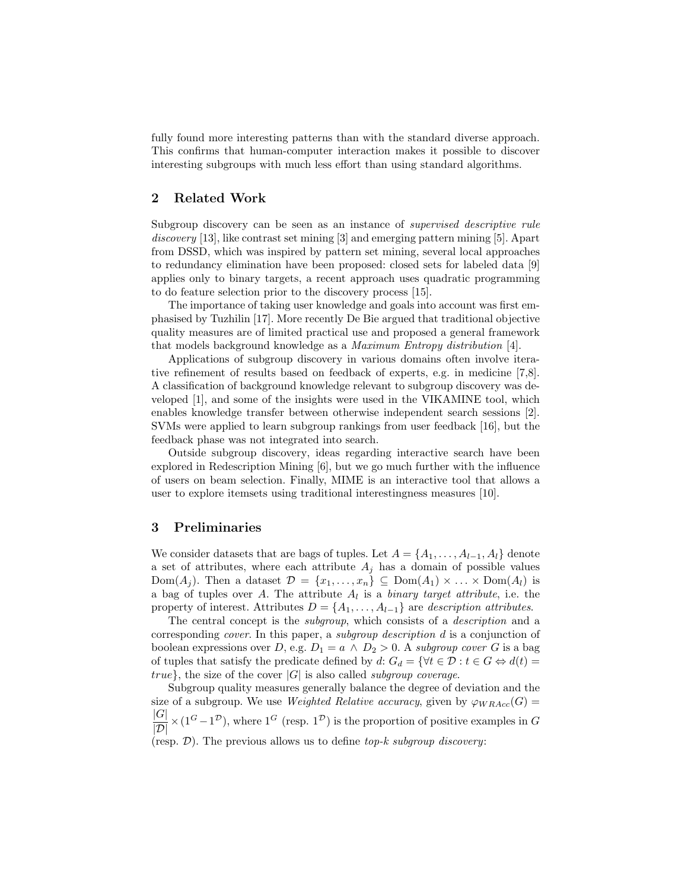fully found more interesting patterns than with the standard diverse approach. This confirms that human-computer interaction makes it possible to discover interesting subgroups with much less effort than using standard algorithms.

# 2 Related Work

Subgroup discovery can be seen as an instance of supervised descriptive rule discovery [13], like contrast set mining [3] and emerging pattern mining [5]. Apart from DSSD, which was inspired by pattern set mining, several local approaches to redundancy elimination have been proposed: closed sets for labeled data [9] applies only to binary targets, a recent approach uses quadratic programming to do feature selection prior to the discovery process [15].

The importance of taking user knowledge and goals into account was first emphasised by Tuzhilin [17]. More recently De Bie argued that traditional objective quality measures are of limited practical use and proposed a general framework that models background knowledge as a Maximum Entropy distribution [4].

Applications of subgroup discovery in various domains often involve iterative refinement of results based on feedback of experts, e.g. in medicine [7,8]. A classification of background knowledge relevant to subgroup discovery was developed [1], and some of the insights were used in the VIKAMINE tool, which enables knowledge transfer between otherwise independent search sessions [2]. SVMs were applied to learn subgroup rankings from user feedback [16], but the feedback phase was not integrated into search.

Outside subgroup discovery, ideas regarding interactive search have been explored in Redescription Mining [6], but we go much further with the influence of users on beam selection. Finally, MIME is an interactive tool that allows a user to explore itemsets using traditional interestingness measures [10].

#### 3 Preliminaries

We consider datasets that are bags of tuples. Let  $A = \{A_1, \ldots, A_{l-1}, A_l\}$  denote a set of attributes, where each attribute  $A_j$  has a domain of possible values Dom $(A_j)$ . Then a dataset  $\mathcal{D} = \{x_1, \ldots, x_n\} \subseteq \text{Dom}(A_1) \times \ldots \times \text{Dom}(A_l)$  is a bag of tuples over A. The attribute  $A_l$  is a *binary target attribute*, i.e. the property of interest. Attributes  $D = \{A_1, \ldots, A_{l-1}\}\$ are description attributes.

The central concept is the subgroup, which consists of a description and a corresponding cover. In this paper, a subgroup description d is a conjunction of boolean expressions over D, e.g.  $D_1 = a \land D_2 > 0$ . A subgroup cover G is a bag of tuples that satisfy the predicate defined by  $d: G_d = \{ \forall t \in \mathcal{D} : t \in G \Leftrightarrow d(t) =$ true}, the size of the cover  $|G|$  is also called *subgroup coverage*.

Subgroup quality measures generally balance the degree of deviation and the size of a subgroup. We use *Weighted Relative accuracy*, given by  $\varphi_{W RAcc}(G)$  $\frac{|G|}{|D|} \times (1^G - 1^D)$ , where  $1^G$  (resp.  $1^D$ ) is the proportion of positive examples in G (resp.  $\mathcal{D}$ ). The previous allows us to define top-k subgroup discovery: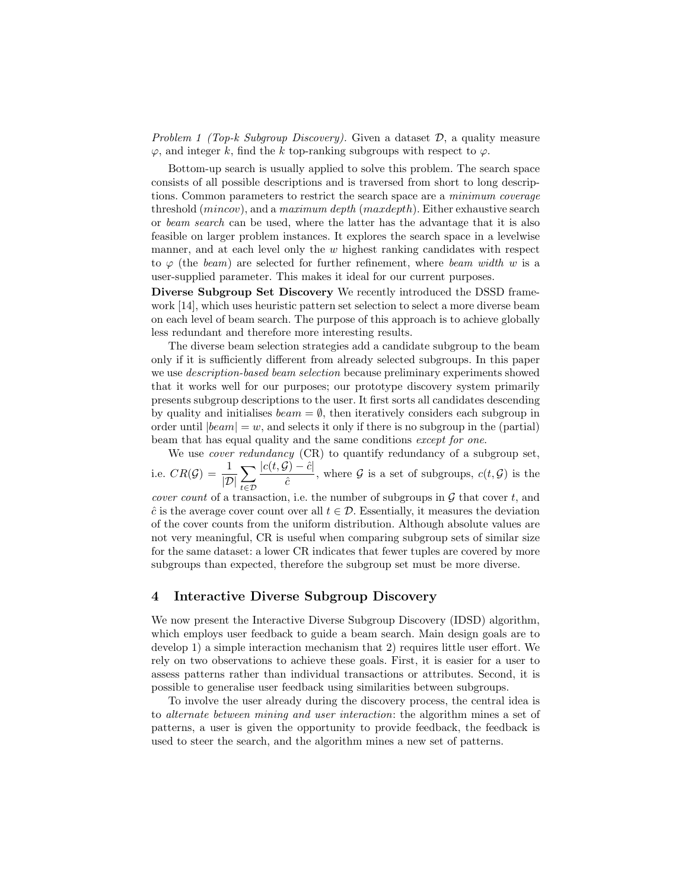Problem 1 (Top-k Subgroup Discovery). Given a dataset  $\mathcal{D}$ , a quality measure  $\varphi$ , and integer k, find the k top-ranking subgroups with respect to  $\varphi$ .

Bottom-up search is usually applied to solve this problem. The search space consists of all possible descriptions and is traversed from short to long descriptions. Common parameters to restrict the search space are a minimum coverage threshold (mincov), and a maximum depth (maxdepth). Either exhaustive search or beam search can be used, where the latter has the advantage that it is also feasible on larger problem instances. It explores the search space in a levelwise manner, and at each level only the w highest ranking candidates with respect to  $\varphi$  (the beam) are selected for further refinement, where beam width w is a user-supplied parameter. This makes it ideal for our current purposes.

Diverse Subgroup Set Discovery We recently introduced the DSSD framework [14], which uses heuristic pattern set selection to select a more diverse beam on each level of beam search. The purpose of this approach is to achieve globally less redundant and therefore more interesting results.

The diverse beam selection strategies add a candidate subgroup to the beam only if it is sufficiently different from already selected subgroups. In this paper we use description-based beam selection because preliminary experiments showed that it works well for our purposes; our prototype discovery system primarily presents subgroup descriptions to the user. It first sorts all candidates descending by quality and initialises  $beam = \emptyset$ , then iteratively considers each subgroup in order until  $|beam| = w$ , and selects it only if there is no subgroup in the (partial) beam that has equal quality and the same conditions except for one.

We use *cover redundancy* (CR) to quantify redundancy of a subgroup set, i.e.  $CR(\mathcal{G}) = \frac{1}{|\mathcal{D}|}$  $\sum$ t∈D  $|c(t,\mathcal{G}) - \hat{c}|$  $\frac{\partial f}{\partial \hat{c}}$ , where  $\mathcal G$  is a set of subgroups,  $c(t, \mathcal G)$  is the

*cover count* of a transaction, i.e. the number of subgroups in  $G$  that cover t, and  $\hat{c}$  is the average cover count over all  $t \in \mathcal{D}$ . Essentially, it measures the deviation of the cover counts from the uniform distribution. Although absolute values are not very meaningful, CR is useful when comparing subgroup sets of similar size for the same dataset: a lower CR indicates that fewer tuples are covered by more subgroups than expected, therefore the subgroup set must be more diverse.

# 4 Interactive Diverse Subgroup Discovery

We now present the Interactive Diverse Subgroup Discovery (IDSD) algorithm, which employs user feedback to guide a beam search. Main design goals are to develop 1) a simple interaction mechanism that 2) requires little user effort. We rely on two observations to achieve these goals. First, it is easier for a user to assess patterns rather than individual transactions or attributes. Second, it is possible to generalise user feedback using similarities between subgroups.

To involve the user already during the discovery process, the central idea is to alternate between mining and user interaction: the algorithm mines a set of patterns, a user is given the opportunity to provide feedback, the feedback is used to steer the search, and the algorithm mines a new set of patterns.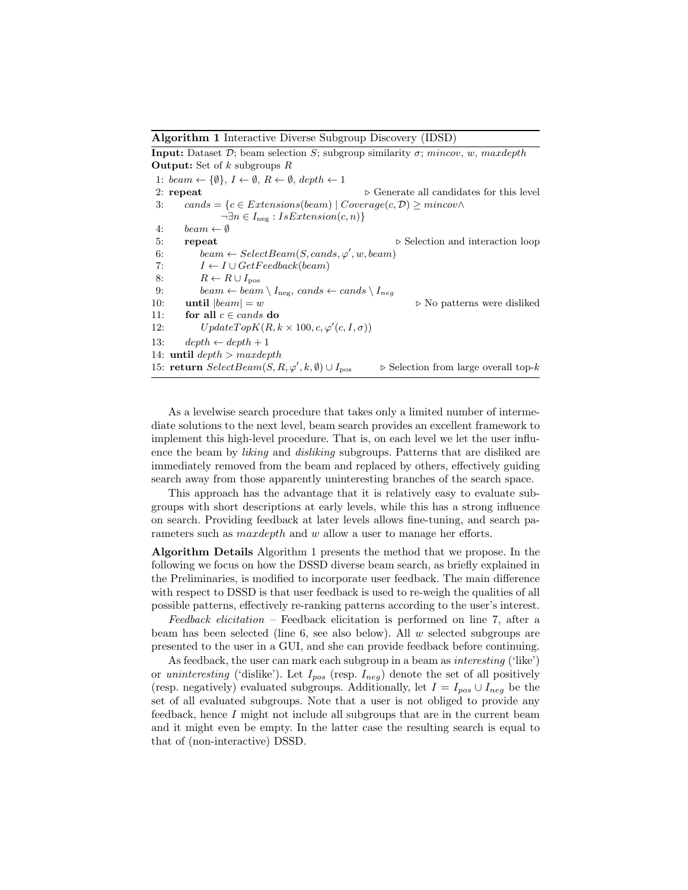Algorithm 1 Interactive Diverse Subgroup Discovery (IDSD)

**Input:** Dataset  $D$ ; beam selection  $S$ ; subgroup similarity  $\sigma$ ; mincov, w, maxdepth **Output:** Set of  $k$  subgroups  $R$ 1: beam  $\leftarrow \{\emptyset\}, I \leftarrow \emptyset, R \leftarrow \emptyset, depth \leftarrow 1$ 2: **repeat**  $\triangleright$  Generate all candidates for this level 3: cands = {c ∈ Extensions(beam) | Coverage(c, D)  $\geq mincov \wedge$  $\neg \exists n \in I_{\text{neg}} : \textit{IsExtension}(c, n)$ 4:  $bean \leftarrow \emptyset$  $5:$  repeat  $\triangleright$  Selection and interaction loop 6: beam  $\leftarrow SelectBeam(S, cands, \varphi', w, beam)$ 7:  $I \leftarrow I \cup GetFeedback(beam)$ 8:  $R \leftarrow R \cup I_{\text{pos}}$ 9: beam  $\leftarrow$  beam  $\setminus I_{\text{neg}}$ , cands  $\leftarrow$  cands  $\setminus I_{\text{neg}}$ 10: **until**  $\begin{cases} \text{beam} = w \\ \text{5} \end{cases}$  No patterns were disliked 11: for all  $c \in cands$  do 12:  $UpdateTopK(R, k \times 100, c, \varphi'(c, I, \sigma))$ 13:  $depth \leftarrow depth + 1$ 14: until  $depth > maxdepth$ 15: return  $SelectBeam(S, R, \varphi', k, \emptyset) \cup I_{\text{pos}}$  $\triangleright$  Selection from large overall top- $k$ 

As a levelwise search procedure that takes only a limited number of intermediate solutions to the next level, beam search provides an excellent framework to implement this high-level procedure. That is, on each level we let the user influence the beam by liking and disliking subgroups. Patterns that are disliked are immediately removed from the beam and replaced by others, effectively guiding search away from those apparently uninteresting branches of the search space.

This approach has the advantage that it is relatively easy to evaluate subgroups with short descriptions at early levels, while this has a strong influence on search. Providing feedback at later levels allows fine-tuning, and search parameters such as *maxdepth* and w allow a user to manage her efforts.

Algorithm Details Algorithm 1 presents the method that we propose. In the following we focus on how the DSSD diverse beam search, as briefly explained in the Preliminaries, is modified to incorporate user feedback. The main difference with respect to DSSD is that user feedback is used to re-weigh the qualities of all possible patterns, effectively re-ranking patterns according to the user's interest.

Feedback elicitation – Feedback elicitation is performed on line 7, after a beam has been selected (line  $6$ , see also below). All w selected subgroups are presented to the user in a GUI, and she can provide feedback before continuing.

As feedback, the user can mark each subgroup in a beam as *interesting* ('like') or uninteresting ('dislike'). Let  $I_{pos}$  (resp.  $I_{neg}$ ) denote the set of all positively (resp. negatively) evaluated subgroups. Additionally, let  $I = I_{pos} \cup I_{neg}$  be the set of all evaluated subgroups. Note that a user is not obliged to provide any feedback, hence I might not include all subgroups that are in the current beam and it might even be empty. In the latter case the resulting search is equal to that of (non-interactive) DSSD.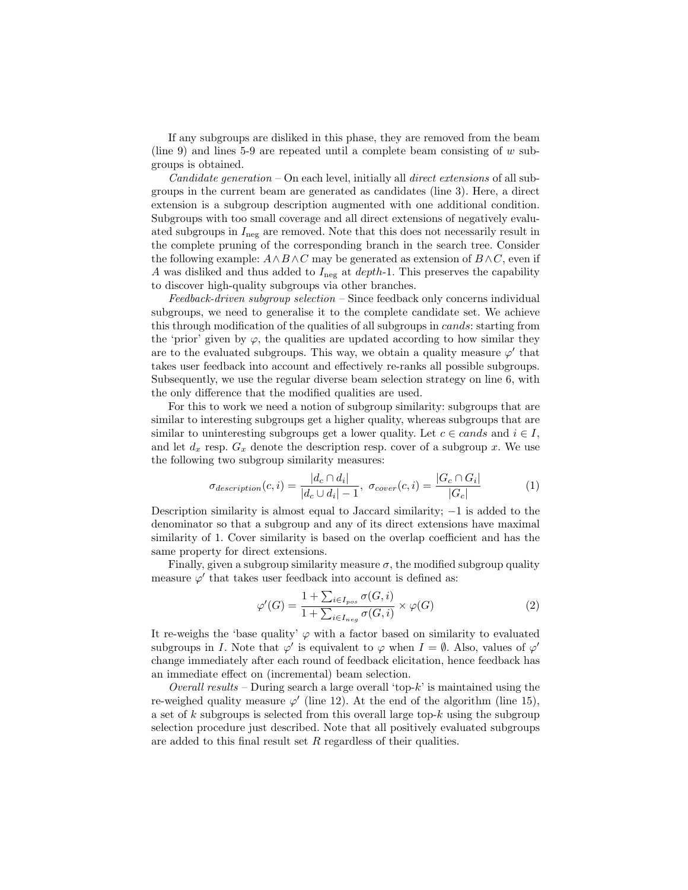If any subgroups are disliked in this phase, they are removed from the beam (line 9) and lines 5-9 are repeated until a complete beam consisting of  $w$  subgroups is obtained.

Candidate generation – On each level, initially all direct extensions of all subgroups in the current beam are generated as candidates (line 3). Here, a direct extension is a subgroup description augmented with one additional condition. Subgroups with too small coverage and all direct extensions of negatively evaluated subgroups in  $I_{\text{neg}}$  are removed. Note that this does not necessarily result in the complete pruning of the corresponding branch in the search tree. Consider the following example:  $A \wedge B \wedge C$  may be generated as extension of  $B \wedge C$ , even if A was disliked and thus added to  $I_{\text{neg}}$  at  $depth-1$ . This preserves the capability to discover high-quality subgroups via other branches.

 $Feedback-driven subgroup selection - Since feedback only concerns individual$ subgroups, we need to generalise it to the complete candidate set. We achieve this through modification of the qualities of all subgroups in cands: starting from the 'prior' given by  $\varphi$ , the qualities are updated according to how similar they are to the evaluated subgroups. This way, we obtain a quality measure  $\varphi'$  that takes user feedback into account and effectively re-ranks all possible subgroups. Subsequently, we use the regular diverse beam selection strategy on line 6, with the only difference that the modified qualities are used.

For this to work we need a notion of subgroup similarity: subgroups that are similar to interesting subgroups get a higher quality, whereas subgroups that are similar to uninteresting subgroups get a lower quality. Let  $c \in c$  and  $i \in I$ , and let  $d_x$  resp.  $G_x$  denote the description resp. cover of a subgroup x. We use the following two subgroup similarity measures:

$$
\sigma_{description}(c, i) = \frac{|d_c \cap d_i|}{|d_c \cup d_i| - 1}, \ \sigma_{cover}(c, i) = \frac{|G_c \cap G_i|}{|G_c|} \tag{1}
$$

Description similarity is almost equal to Jaccard similarity;  $-1$  is added to the denominator so that a subgroup and any of its direct extensions have maximal similarity of 1. Cover similarity is based on the overlap coefficient and has the same property for direct extensions.

Finally, given a subgroup similarity measure  $\sigma$ , the modified subgroup quality measure  $\varphi'$  that takes user feedback into account is defined as:

$$
\varphi'(G) = \frac{1 + \sum_{i \in I_{pos}} \sigma(G, i)}{1 + \sum_{i \in I_{neg}} \sigma(G, i)} \times \varphi(G)
$$
\n(2)

It re-weighs the 'base quality'  $\varphi$  with a factor based on similarity to evaluated subgroups in I. Note that  $\varphi'$  is equivalent to  $\varphi$  when  $I = \emptyset$ . Also, values of  $\varphi'$ change immediately after each round of feedback elicitation, hence feedback has an immediate effect on (incremental) beam selection.

*Overall results – During search a large overall 'top-k' is maintained using the* re-weighed quality measure  $\varphi'$  (line 12). At the end of the algorithm (line 15), a set of k subgroups is selected from this overall large top- $k$  using the subgroup selection procedure just described. Note that all positively evaluated subgroups are added to this final result set R regardless of their qualities.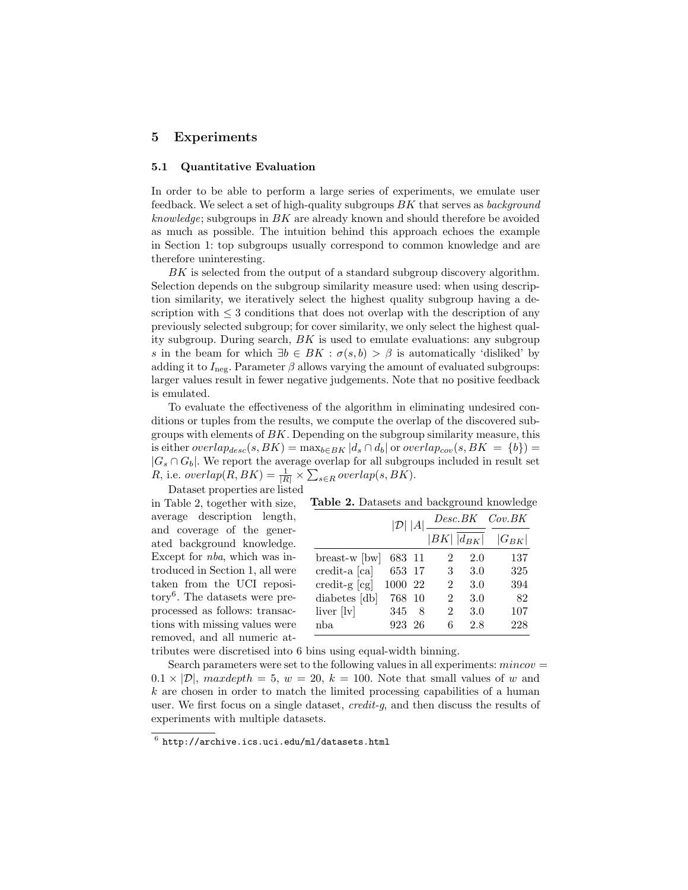#### 5 Experiments

# 5.1 Quantitative Evaluation

In order to be able to perform a large series of experiments, we emulate user feedback. We select a set of high-quality subgroups  $BK$  that serves as background knowledge; subgroups in  $BK$  are already known and should therefore be avoided as much as possible. The intuition behind this approach echoes the example in Section 1: top subgroups usually correspond to common knowledge and are therefore uninteresting.

BK is selected from the output of a standard subgroup discovery algorithm. Selection depends on the subgroup similarity measure used: when using description similarity, we iteratively select the highest quality subgroup having a description with  $\leq$  3 conditions that does not overlap with the description of any previously selected subgroup; for cover similarity, we only select the highest quality subgroup. During search,  $BK$  is used to emulate evaluations: any subgroup s in the beam for which  $\exists b \in BK : \sigma(s, b) > \beta$  is automatically 'disliked' by adding it to  $I_{\text{neg}}$ . Parameter  $\beta$  allows varying the amount of evaluated subgroups: larger values result in fewer negative judgements. Note that no positive feedback is emulated.

To evaluate the effectiveness of the algorithm in eliminating undesired conditions or tuples from the results, we compute the overlap of the discovered subgroups with elements of  $BK$ . Depending on the subgroup similarity measure, this is either  $overlap_{desc}(s,BK) = \max_{b \in BK} |d_s \cap d_b|$  or  $overlap_{cov}(s,BK = \{b\}) =$  $|G_s \cap G_b|$ . We report the average overlap for all subgroups included in result set R, i.e. overlap $(R, BK) = \frac{1}{|R|} \times \sum_{s \in R} overlap(s, BK)$ .

Dataset properties are listed

in Table 2, together with size, average description length, and coverage of the generated background knowledge. Except for nba, which was introduced in Section 1, all were taken from the UCI repository<sup>6</sup> . The datasets were preprocessed as follows: transactions with missing values were removed, and all numeric at-

|  |  |  |  | Table 2. Datasets and background knowledge |  |  |
|--|--|--|--|--------------------------------------------|--|--|
|--|--|--|--|--------------------------------------------|--|--|

|                                                      |         |   |                |     | $ \mathcal{D} $  A  $\frac{Desc.BK}{\sqrt{Cov.BK}}$ |
|------------------------------------------------------|---------|---|----------------|-----|-----------------------------------------------------|
|                                                      |         |   |                |     | $ BK $ $ d_{BK} $ $ G_{BK} $                        |
| breast-w [bw]                                        | 683 11  |   | 2              | 2.0 | 137                                                 |
| $\text{credit-a}$ [ca]                               | 653 17  |   | 3              | 3.0 | 325                                                 |
| $\,\mathrm{credit}\text{-}\mathrm{g}\,\mathrm{[cg]}$ | 1000 22 |   | $\mathfrak{D}$ | 3.0 | 394                                                 |
| diabetes [db]                                        | 768 10  |   | 2              | 3.0 | 82                                                  |
| $liver$ $[lv]$                                       | 345     | 8 | $\overline{2}$ | 3.0 | 107                                                 |
| nha.                                                 | 923 26  |   |                | 2.8 | 228                                                 |

tributes were discretised into 6 bins using equal-width binning.

Search parameters were set to the following values in all experiments:  $mincov =$  $0.1 \times |\mathcal{D}|$ , maxdepth = 5, w = 20, k = 100. Note that small values of w and  $k$  are chosen in order to match the limited processing capabilities of a human user. We first focus on a single dataset, credit-g, and then discuss the results of experiments with multiple datasets.

 $^6$  http://archive.ics.uci.edu/ml/datasets.html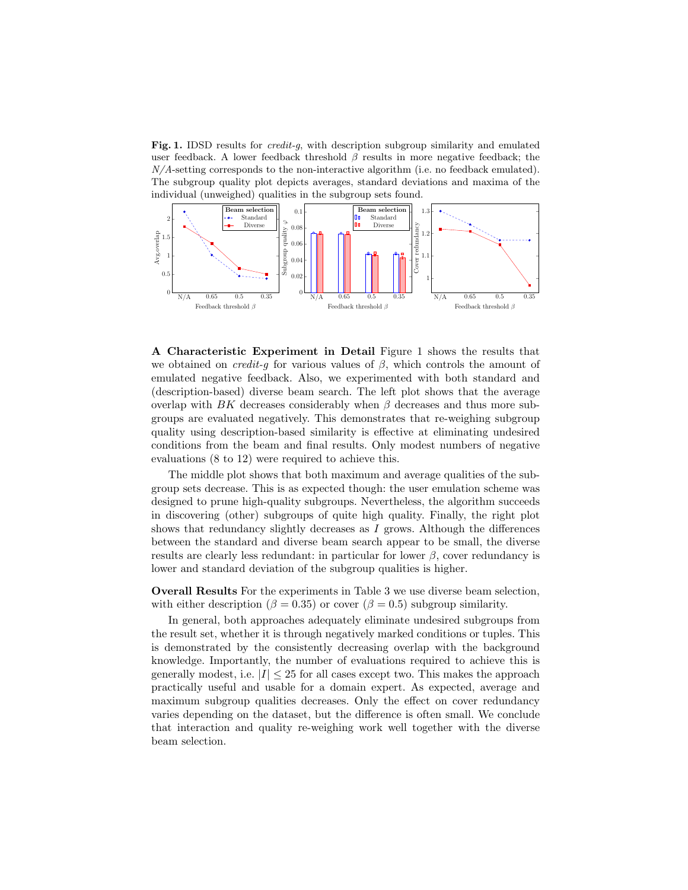Fig. 1. IDSD results for *credit-q*, with description subgroup similarity and emulated user feedback. A lower feedback threshold  $\beta$  results in more negative feedback; the  $N/A$ -setting corresponds to the non-interactive algorithm (i.e. no feedback emulated). The subgroup quality plot depicts averages, standard deviations and maxima of the individual (unweighed) qualities in the subgroup sets found.



A Characteristic Experiment in Detail Figure 1 shows the results that we obtained on *credit-q* for various values of  $\beta$ , which controls the amount of emulated negative feedback. Also, we experimented with both standard and (description-based) diverse beam search. The left plot shows that the average overlap with BK decreases considerably when  $\beta$  decreases and thus more subgroups are evaluated negatively. This demonstrates that re-weighing subgroup quality using description-based similarity is effective at eliminating undesired conditions from the beam and final results. Only modest numbers of negative evaluations (8 to 12) were required to achieve this.

The middle plot shows that both maximum and average qualities of the subgroup sets decrease. This is as expected though: the user emulation scheme was designed to prune high-quality subgroups. Nevertheless, the algorithm succeeds in discovering (other) subgroups of quite high quality. Finally, the right plot shows that redundancy slightly decreases as  $I$  grows. Although the differences between the standard and diverse beam search appear to be small, the diverse results are clearly less redundant: in particular for lower  $\beta$ , cover redundancy is lower and standard deviation of the subgroup qualities is higher.

Overall Results For the experiments in Table 3 we use diverse beam selection, with either description ( $\beta = 0.35$ ) or cover ( $\beta = 0.5$ ) subgroup similarity.

In general, both approaches adequately eliminate undesired subgroups from the result set, whether it is through negatively marked conditions or tuples. This is demonstrated by the consistently decreasing overlap with the background knowledge. Importantly, the number of evaluations required to achieve this is generally modest, i.e.  $|I| \leq 25$  for all cases except two. This makes the approach practically useful and usable for a domain expert. As expected, average and maximum subgroup qualities decreases. Only the effect on cover redundancy varies depending on the dataset, but the difference is often small. We conclude that interaction and quality re-weighing work well together with the diverse beam selection.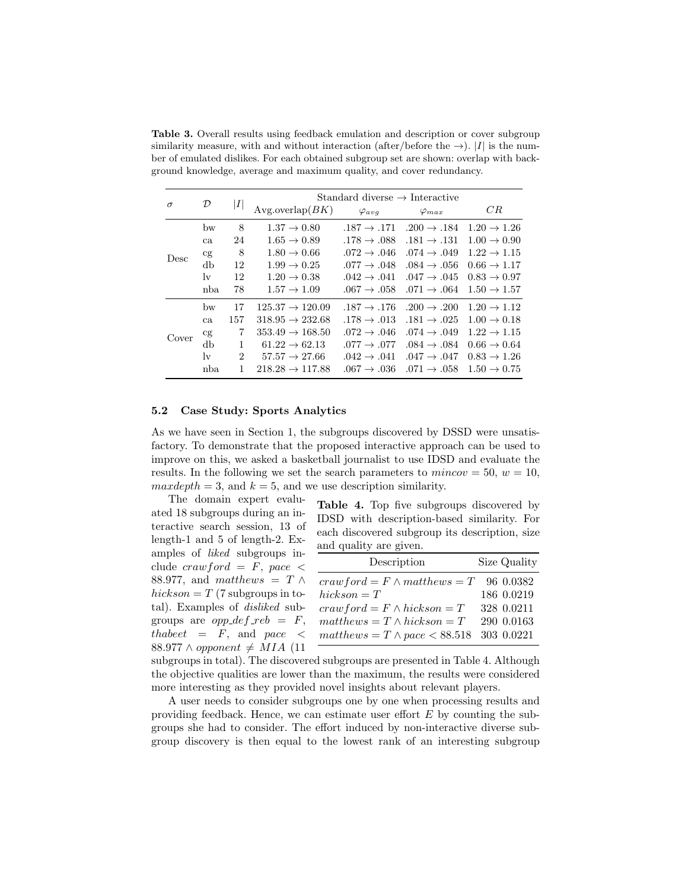Table 3. Overall results using feedback emulation and description or cover subgroup similarity measure, with and without interaction (after/before the  $\rightarrow$ ). II is the number of emulated dislikes. For each obtained subgroup set are shown: overlap with background knowledge, average and maximum quality, and cover redundancy.

|             | $\mathcal{D}$ | I   | Standard diverse $\rightarrow$ Interactive |                         |                         |                         |
|-------------|---------------|-----|--------------------------------------------|-------------------------|-------------------------|-------------------------|
| $\sigma$    |               |     | Avg. overlap(BK)                           | $\varphi_{avg}$         | $\varphi_{max}$         | CR                      |
|             | bw            | 8   | $1.37 \rightarrow 0.80$                    | $.187 \rightarrow .171$ | $.200 \rightarrow .184$ | $1.20 \rightarrow 1.26$ |
|             | ca            | 24  | $1.65 \rightarrow 0.89$                    | $.178 \rightarrow .088$ | $.181 \rightarrow .131$ | $1.00 \rightarrow 0.90$ |
| <b>Desc</b> | cg            | 8   | $1.80 \rightarrow 0.66$                    | $.072 \rightarrow .046$ | $.074 \rightarrow .049$ | $1.22 \rightarrow 1.15$ |
|             | db            | 12  | $1.99 \rightarrow 0.25$                    | $.077 \rightarrow .048$ | $.084 \rightarrow .056$ | $0.66 \rightarrow 1.17$ |
|             | $\rm{lv}$     | 12  | $1.20 \rightarrow 0.38$                    | $.042 \rightarrow .041$ | $.047 \rightarrow .045$ | $0.83 \rightarrow 0.97$ |
|             | nba.          | 78  | $1.57 \rightarrow 1.09$                    | $.067 \rightarrow .058$ | $.071 \rightarrow .064$ | $1.50 \rightarrow 1.57$ |
|             | bw            | 17  | $125.37 \rightarrow 120.09$                | $.187 \rightarrow .176$ | $.200 \rightarrow .200$ | $1.20 \rightarrow 1.12$ |
| Cover       | ca            | 157 | $318.95 \rightarrow 232.68$                | $.178 \rightarrow .013$ | $.181 \rightarrow .025$ | $1.00 \rightarrow 0.18$ |
|             | cg            |     | $353.49 \rightarrow 168.50$                | $.072 \rightarrow .046$ | $.074 \rightarrow .049$ | $1.22 \rightarrow 1.15$ |
|             | db            | 1   | $61.22 \rightarrow 62.13$                  | $.077 \rightarrow .077$ | $.084 \rightarrow .084$ | $0.66 \rightarrow 0.64$ |
|             | $\rm{lv}$     | 2   | $57.57 \rightarrow 27.66$                  | $.042 \rightarrow .041$ | $.047 \rightarrow .047$ | $0.83 \rightarrow 1.26$ |
|             | nba           |     | $218.28 \rightarrow 117.88$                | $.067 \rightarrow .036$ | $.071 \rightarrow .058$ | $1.50 \rightarrow 0.75$ |

#### 5.2 Case Study: Sports Analytics

As we have seen in Section 1, the subgroups discovered by DSSD were unsatisfactory. To demonstrate that the proposed interactive approach can be used to improve on this, we asked a basketball journalist to use IDSD and evaluate the results. In the following we set the search parameters to  $mincov = 50$ ,  $w = 10$ ,  $maxdepth = 3$ , and  $k = 5$ , and we use description similarity.

The domain expert evaluated 18 subgroups during an interactive search session, 13 of length-1 and 5 of length-2. Examples of liked subgroups include crawford  $=$  F, pace  $\lt$ 88.977, and  $mathemph{math>$  $hickson = T$  (7 subgroups in total). Examples of disliked subgroups are  $opp\_def\_reb = F$ , thabeet =  $F$ , and pace < 88.977  $\land$  opponent  $\neq$  MIA (11)

Table 4. Top five subgroups discovered by IDSD with description-based similarity. For each discovered subgroup its description, size and quality are given.

| Description                        | Size Quality |
|------------------------------------|--------------|
| $crawford = F \wedge matthews = T$ | 96 0.0382    |
| $hickson = T$                      | 186 0.0219   |
| $crawford = F \wedge hickson = T$  | 328 0.0211   |
| $mathews = T \wedge hickson = T$   | 290 0.0163   |
| $mathews = T \wedge pace < 88.518$ | 303 0.0221   |

subgroups in total). The discovered subgroups are presented in Table 4. Although the objective qualities are lower than the maximum, the results were considered more interesting as they provided novel insights about relevant players.

A user needs to consider subgroups one by one when processing results and providing feedback. Hence, we can estimate user effort  $E$  by counting the subgroups she had to consider. The effort induced by non-interactive diverse subgroup discovery is then equal to the lowest rank of an interesting subgroup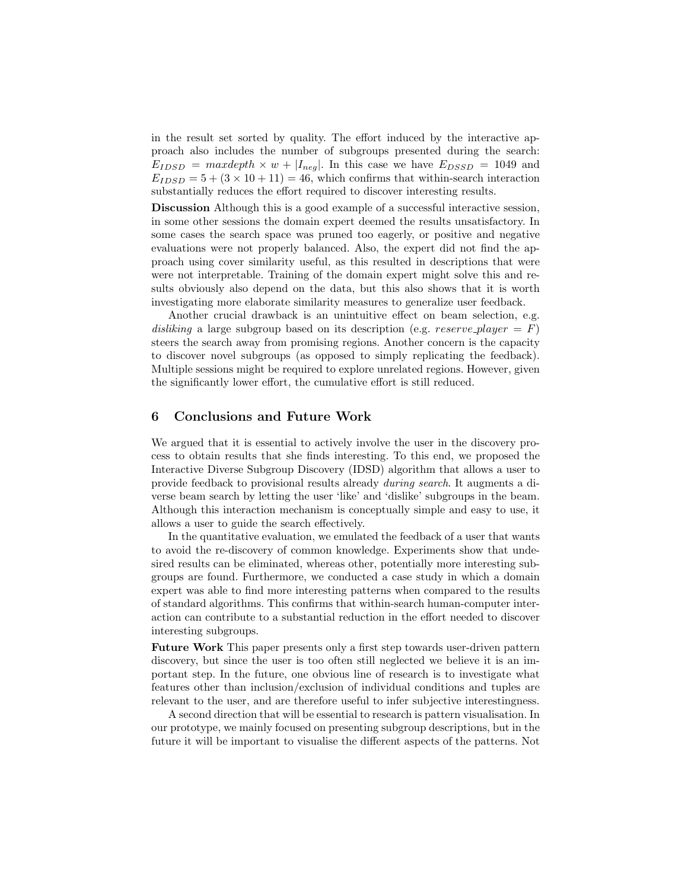in the result set sorted by quality. The effort induced by the interactive approach also includes the number of subgroups presented during the search:  $E_{IDSD} = maxdepth \times w + |I_{neg}|$ . In this case we have  $E_{DSSD} = 1049$  and  $E_{IDSD} = 5 + (3 \times 10 + 11) = 46$ , which confirms that within-search interaction substantially reduces the effort required to discover interesting results.

Discussion Although this is a good example of a successful interactive session, in some other sessions the domain expert deemed the results unsatisfactory. In some cases the search space was pruned too eagerly, or positive and negative evaluations were not properly balanced. Also, the expert did not find the approach using cover similarity useful, as this resulted in descriptions that were were not interpretable. Training of the domain expert might solve this and results obviously also depend on the data, but this also shows that it is worth investigating more elaborate similarity measures to generalize user feedback.

Another crucial drawback is an unintuitive effect on beam selection, e.g. disliking a large subgroup based on its description (e.g. reserve-player  $= F$ ) steers the search away from promising regions. Another concern is the capacity to discover novel subgroups (as opposed to simply replicating the feedback). Multiple sessions might be required to explore unrelated regions. However, given the significantly lower effort, the cumulative effort is still reduced.

# 6 Conclusions and Future Work

We argued that it is essential to actively involve the user in the discovery process to obtain results that she finds interesting. To this end, we proposed the Interactive Diverse Subgroup Discovery (IDSD) algorithm that allows a user to provide feedback to provisional results already during search. It augments a diverse beam search by letting the user 'like' and 'dislike' subgroups in the beam. Although this interaction mechanism is conceptually simple and easy to use, it allows a user to guide the search effectively.

In the quantitative evaluation, we emulated the feedback of a user that wants to avoid the re-discovery of common knowledge. Experiments show that undesired results can be eliminated, whereas other, potentially more interesting subgroups are found. Furthermore, we conducted a case study in which a domain expert was able to find more interesting patterns when compared to the results of standard algorithms. This confirms that within-search human-computer interaction can contribute to a substantial reduction in the effort needed to discover interesting subgroups.

Future Work This paper presents only a first step towards user-driven pattern discovery, but since the user is too often still neglected we believe it is an important step. In the future, one obvious line of research is to investigate what features other than inclusion/exclusion of individual conditions and tuples are relevant to the user, and are therefore useful to infer subjective interestingness.

A second direction that will be essential to research is pattern visualisation. In our prototype, we mainly focused on presenting subgroup descriptions, but in the future it will be important to visualise the different aspects of the patterns. Not